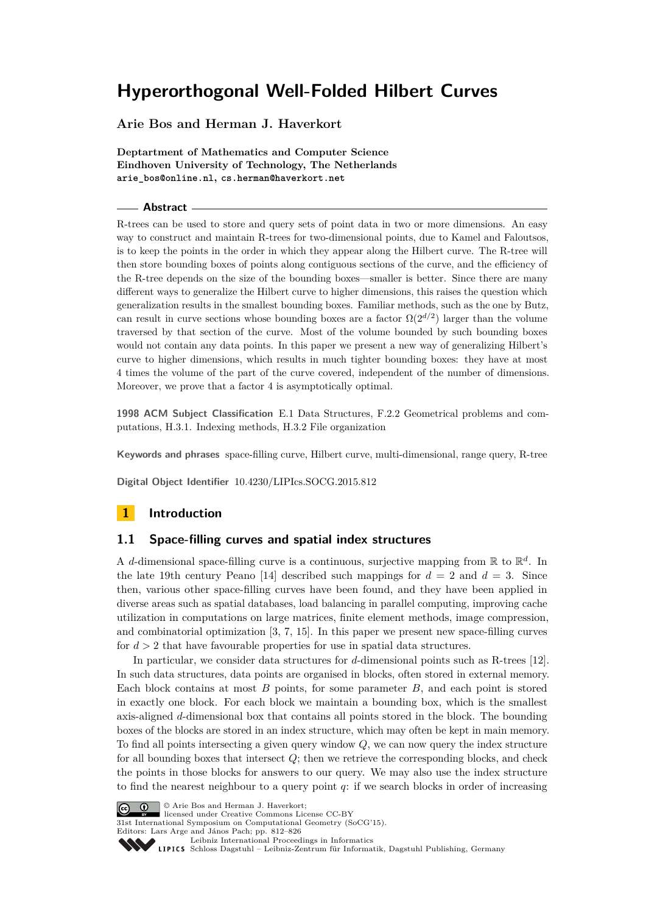**Arie Bos and Herman J. Haverkort**

**Deptartment of Mathematics and Computer Science Eindhoven University of Technology, The Netherlands arie\_bos@online.nl, cs.herman@haverkort.net**

# **Abstract**

R-trees can be used to store and query sets of point data in two or more dimensions. An easy way to construct and maintain R-trees for two-dimensional points, due to Kamel and Faloutsos, is to keep the points in the order in which they appear along the Hilbert curve. The R-tree will then store bounding boxes of points along contiguous sections of the curve, and the efficiency of the R-tree depends on the size of the bounding boxes—smaller is better. Since there are many different ways to generalize the Hilbert curve to higher dimensions, this raises the question which generalization results in the smallest bounding boxes. Familiar methods, such as the one by Butz, can result in curve sections whose bounding boxes are a factor  $\Omega(2^{d/2})$  larger than the volume traversed by that section of the curve. Most of the volume bounded by such bounding boxes would not contain any data points. In this paper we present a new way of generalizing Hilbert's curve to higher dimensions, which results in much tighter bounding boxes: they have at most 4 times the volume of the part of the curve covered, independent of the number of dimensions. Moreover, we prove that a factor 4 is asymptotically optimal.

**1998 ACM Subject Classification** E.1 Data Structures, F.2.2 Geometrical problems and computations, H.3.1. Indexing methods, H.3.2 File organization

**Keywords and phrases** space-filling curve, Hilbert curve, multi-dimensional, range query, R-tree

**Digital Object Identifier** [10.4230/LIPIcs.SOCG.2015.812](http://dx.doi.org/10.4230/LIPIcs.SOCG.2015.812)

# **1 Introduction**

# <span id="page-0-0"></span>**1.1 Space-filling curves and spatial index structures**

A *d*-dimensional space-filling curve is a continuous, surjective mapping from  $\mathbb R$  to  $\mathbb R^d$ . In the late 19th century Peano [\[14\]](#page-14-0) described such mappings for  $d = 2$  and  $d = 3$ . Since then, various other space-filling curves have been found, and they have been applied in diverse areas such as spatial databases, load balancing in parallel computing, improving cache utilization in computations on large matrices, finite element methods, image compression, and combinatorial optimization [\[3,](#page-14-1) [7,](#page-14-2) [15\]](#page-14-3). In this paper we present new space-filling curves for  $d > 2$  that have favourable properties for use in spatial data structures.

In particular, we consider data structures for *d*-dimensional points such as R-trees [\[12\]](#page-14-4). In such data structures, data points are organised in blocks, often stored in external memory. Each block contains at most *B* points, for some parameter *B*, and each point is stored in exactly one block. For each block we maintain a bounding box, which is the smallest axis-aligned *d*-dimensional box that contains all points stored in the block. The bounding boxes of the blocks are stored in an index structure, which may often be kept in main memory. To find all points intersecting a given query window *Q*, we can now query the index structure for all bounding boxes that intersect *Q*; then we retrieve the corresponding blocks, and check the points in those blocks for answers to our query. We may also use the index structure to find the nearest neighbour to a query point *q*: if we search blocks in order of increasing



© Arie Bos and Herman J. Haverkort; licensed under Creative Commons License CC-BY

31st International Symposium on Computational Geometry (SoCG'15).

Editors: Lars Arge and János Pach; pp. 812[–826](#page-14-5)

[Leibniz International Proceedings in Informatics](http://www.dagstuhl.de/lipics/)

Leibniz international Froceedings in informatik, Dagstuhl Publishing, Germany<br>LIPICS [Schloss Dagstuhl – Leibniz-Zentrum für Informatik, Dagstuhl Publishing, Germany](http://www.dagstuhl.de)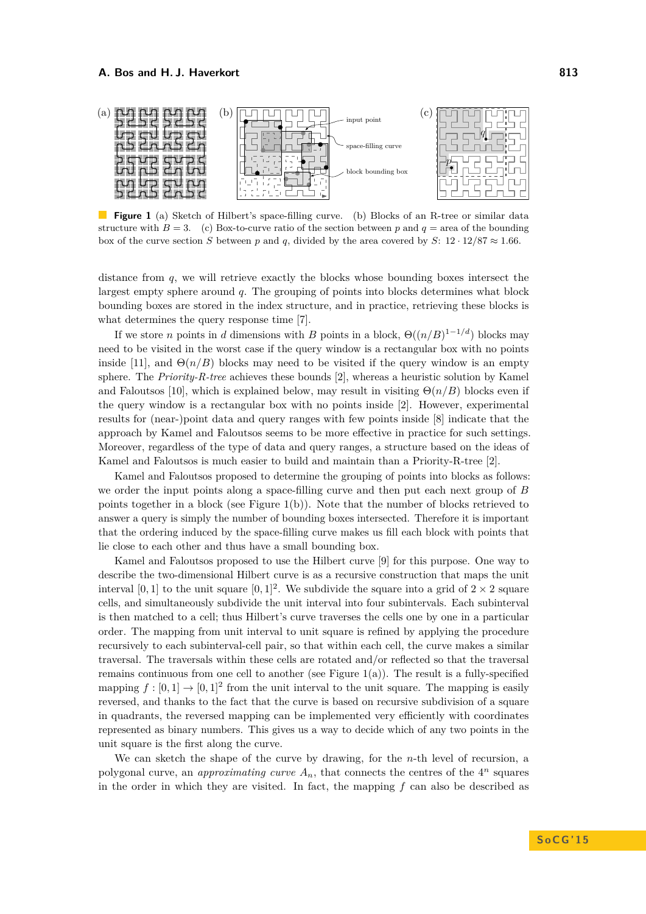<span id="page-1-0"></span>

**Figure 1** (a) Sketch of Hilbert's space-filling curve. (b) Blocks of an R-tree or similar data structure with  $B = 3$ . (c) Box-to-curve ratio of the section between p and  $q = \text{area of the bounding}$ box of the curve section *S* between *p* and *q*, divided by the area covered by *S*:  $12 \cdot 12/87 \approx 1.66$ .

distance from *q*, we will retrieve exactly the blocks whose bounding boxes intersect the largest empty sphere around *q*. The grouping of points into blocks determines what block bounding boxes are stored in the index structure, and in practice, retrieving these blocks is what determines the query response time [\[7\]](#page-14-2).

If we store *n* points in *d* dimensions with *B* points in a block,  $\Theta((n/B)^{1-1/d})$  blocks may need to be visited in the worst case if the query window is a rectangular box with no points inside [\[11\]](#page-14-6), and  $\Theta(n/B)$  blocks may need to be visited if the query window is an empty sphere. The *Priority-R-tree* achieves these bounds [\[2\]](#page-14-7), whereas a heuristic solution by Kamel and Faloutsos [\[10\]](#page-14-8), which is explained below, may result in visiting  $\Theta(n/B)$  blocks even if the query window is a rectangular box with no points inside [\[2\]](#page-14-7). However, experimental results for (near-)point data and query ranges with few points inside [\[8\]](#page-14-9) indicate that the approach by Kamel and Faloutsos seems to be more effective in practice for such settings. Moreover, regardless of the type of data and query ranges, a structure based on the ideas of Kamel and Faloutsos is much easier to build and maintain than a Priority-R-tree [\[2\]](#page-14-7).

Kamel and Faloutsos proposed to determine the grouping of points into blocks as follows: we order the input points along a space-filling curve and then put each next group of *B* points together in a block (see Figure [1\(](#page-1-0)b)). Note that the number of blocks retrieved to answer a query is simply the number of bounding boxes intersected. Therefore it is important that the ordering induced by the space-filling curve makes us fill each block with points that lie close to each other and thus have a small bounding box.

Kamel and Faloutsos proposed to use the Hilbert curve [\[9\]](#page-14-10) for this purpose. One way to describe the two-dimensional Hilbert curve is as a recursive construction that maps the unit interval [0, 1] to the unit square  $[0, 1]^2$ . We subdivide the square into a grid of  $2 \times 2$  square cells, and simultaneously subdivide the unit interval into four subintervals. Each subinterval is then matched to a cell; thus Hilbert's curve traverses the cells one by one in a particular order. The mapping from unit interval to unit square is refined by applying the procedure recursively to each subinterval-cell pair, so that within each cell, the curve makes a similar traversal. The traversals within these cells are rotated and/or reflected so that the traversal remains continuous from one cell to another (see Figure  $1(a)$ ). The result is a fully-specified mapping  $f : [0, 1] \to [0, 1]^2$  from the unit interval to the unit square. The mapping is easily reversed, and thanks to the fact that the curve is based on recursive subdivision of a square in quadrants, the reversed mapping can be implemented very efficiently with coordinates represented as binary numbers. This gives us a way to decide which of any two points in the unit square is the first along the curve.

We can sketch the shape of the curve by drawing, for the *n*-th level of recursion, a polygonal curve, an *approximating curve*  $A_n$ , that connects the centres of the  $4^n$  squares in the order in which they are visited. In fact, the mapping *f* can also be described as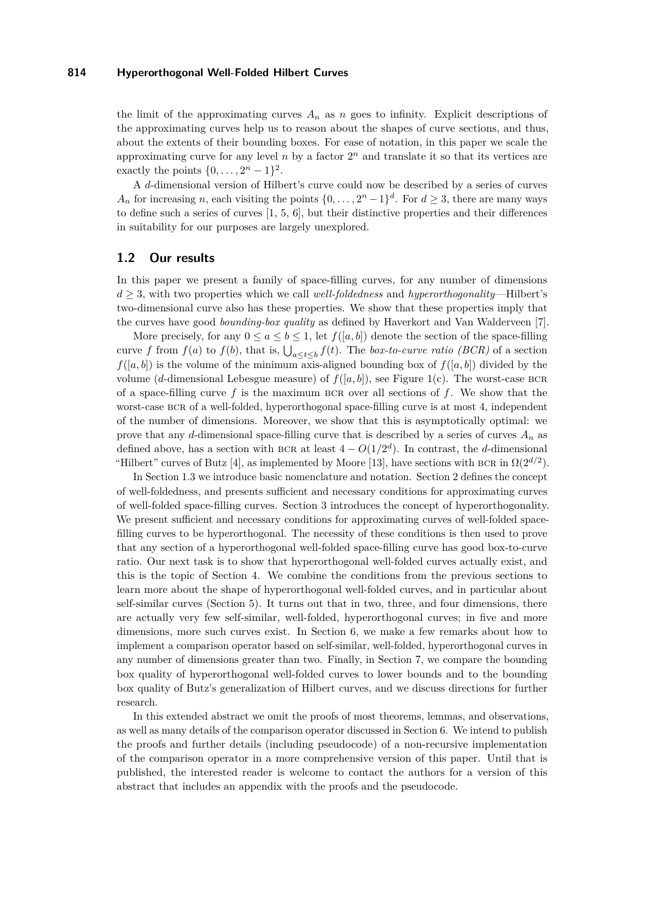the limit of the approximating curves  $A_n$  as *n* goes to infinity. Explicit descriptions of the approximating curves help us to reason about the shapes of curve sections, and thus, about the extents of their bounding boxes. For ease of notation, in this paper we scale the approximating curve for any level  $n$  by a factor  $2<sup>n</sup>$  and translate it so that its vertices are exactly the points  $\{0, \ldots, 2<sup>n</sup> - 1\}$ <sup>2</sup>.

A *d*-dimensional version of Hilbert's curve could now be described by a series of curves *A<sub>n</sub>* for increasing *n*, each visiting the points  $\{0, \ldots, 2^n - 1\}^d$ . For  $d \geq 3$ , there are many ways to define such a series of curves [\[1,](#page-14-11) [5,](#page-14-12) [6\]](#page-14-13), but their distinctive properties and their differences in suitability for our purposes are largely unexplored.

# **1.2 Our results**

In this paper we present a family of space-filling curves, for any number of dimensions  $d \geq 3$ , with two properties which we call *well-foldedness* and *hyperorthogonality*—Hilbert's two-dimensional curve also has these properties. We show that these properties imply that the curves have good *bounding-box quality* as defined by Haverkort and Van Walderveen [\[7\]](#page-14-2).

More precisely, for any  $0 \le a \le b \le 1$ , let  $f([a, b])$  denote the section of the space-filling curve *f* from  $f(a)$  to  $f(b)$ , that is,  $\bigcup_{a \le t \le b} f(t)$ . The *box-to-curve ratio (BCR)* of a section  $f([a, b])$  is the volume of the minimum axis-aligned bounding box of  $f([a, b])$  divided by the volume (*d*-dimensional Lebesgue measure) of  $f([a, b])$ , see Figure [1\(](#page-1-0)*c*). The worst-case BCR of a space-filling curve  $f$  is the maximum BCR over all sections of  $f$ . We show that the worst-case BCR of a well-folded, hyperorthogonal space-filling curve is at most 4, independent of the number of dimensions. Moreover, we show that this is asymptotically optimal: we prove that any *d*-dimensional space-filling curve that is described by a series of curves  $A_n$  as defined above, has a section with BCR at least  $4 - O(1/2^d)$ . In contrast, the *d*-dimensional "Hilbert" curves of Butz [\[4\]](#page-14-14), as implemented by Moore [\[13\]](#page-14-15), have sections with BCR in  $\Omega(2^{d/2})$ .

In Section [1.3](#page-3-0) we introduce basic nomenclature and notation. Section [2](#page-4-0) defines the concept of well-foldedness, and presents sufficient and necessary conditions for approximating curves of well-folded space-filling curves. Section [3](#page-5-0) introduces the concept of hyperorthogonality. We present sufficient and necessary conditions for approximating curves of well-folded spacefilling curves to be hyperorthogonal. The necessity of these conditions is then used to prove that any section of a hyperorthogonal well-folded space-filling curve has good box-to-curve ratio. Our next task is to show that hyperorthogonal well-folded curves actually exist, and this is the topic of Section [4.](#page-8-0) We combine the conditions from the previous sections to learn more about the shape of hyperorthogonal well-folded curves, and in particular about self-similar curves (Section [5\)](#page-9-0). It turns out that in two, three, and four dimensions, there are actually very few self-similar, well-folded, hyperorthogonal curves; in five and more dimensions, more such curves exist. In Section [6,](#page-11-0) we make a few remarks about how to implement a comparison operator based on self-similar, well-folded, hyperorthogonal curves in any number of dimensions greater than two. Finally, in Section [7,](#page-12-0) we compare the bounding box quality of hyperorthogonal well-folded curves to lower bounds and to the bounding box quality of Butz's generalization of Hilbert curves, and we discuss directions for further research.

In this extended abstract we omit the proofs of most theorems, lemmas, and observations, as well as many details of the comparison operator discussed in Section [6.](#page-11-0) We intend to publish the proofs and further details (including pseudocode) of a non-recursive implementation of the comparison operator in a more comprehensive version of this paper. Until that is published, the interested reader is welcome to contact the authors for a version of this abstract that includes an appendix with the proofs and the pseudocode.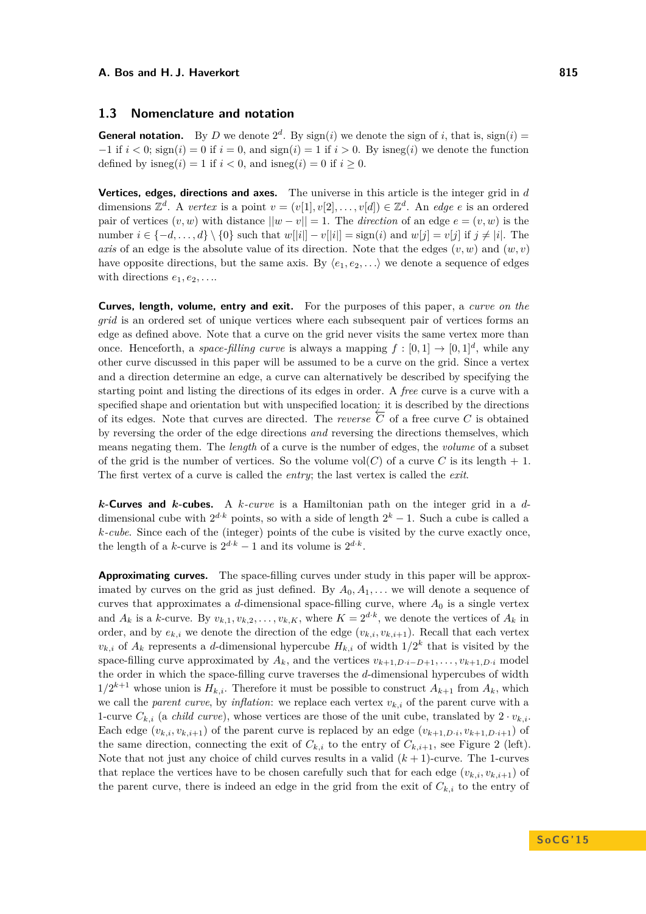# <span id="page-3-0"></span>**1.3 Nomenclature and notation**

**General notation.** By D we denote  $2^d$ . By sign(*i*) we denote the sign of *i*, that is, sign(*i*) =  $-1$  if  $i < 0$ ; sign( $i$ ) = 0 if  $i = 0$ , and sign( $i$ ) = 1 if  $i > 0$ . By isneg(i) we denote the function defined by  $\text{isneg}(i) = 1$  if  $i < 0$ , and  $\text{isneg}(i) = 0$  if  $i > 0$ .

**Vertices, edges, directions and axes.** The universe in this article is the integer grid in *d* dimensions  $\mathbb{Z}^d$ . A *vertex* is a point  $v = (v[1], v[2], \ldots, v[d]) \in \mathbb{Z}^d$ . An *edge e* is an ordered pair of vertices  $(v, w)$  with distance  $||w - v|| = 1$ . The *direction* of an edge  $e = (v, w)$  is the number  $i \in \{-d, \ldots, d\} \setminus \{0\}$  such that  $w[|i|] - v[|i|] = \text{sign}(i)$  and  $w[j] = v[j]$  if  $j \neq |i|$ . The *axis* of an edge is the absolute value of its direction. Note that the edges  $(v, w)$  and  $(w, v)$ have opposite directions, but the same axis. By  $\langle e_1, e_2, \ldots \rangle$  we denote a sequence of edges with directions  $e_1, e_2, \ldots$ 

**Curves, length, volume, entry and exit.** For the purposes of this paper, a *curve on the grid* is an ordered set of unique vertices where each subsequent pair of vertices forms an edge as defined above. Note that a curve on the grid never visits the same vertex more than once. Henceforth, a *space-filling curve* is always a mapping  $f : [0,1] \to [0,1]^d$ , while any other curve discussed in this paper will be assumed to be a curve on the grid. Since a vertex and a direction determine an edge, a curve can alternatively be described by specifying the starting point and listing the directions of its edges in order. A *free* curve is a curve with a specified shape and orientation but with unspecified location: it is described by the directions of its edges. Note that curves are directed. The *reverse*  $\overline{C}$  of a free curve *C* is obtained by reversing the order of the edge directions *and* reversing the directions themselves, which means negating them. The *length* of a curve is the number of edges, the *volume* of a subset of the grid is the number of vertices. So the volume vol $(C)$  of a curve C is its length  $+1$ . The first vertex of a curve is called the *entry*; the last vertex is called the *exit*.

*k***-Curves and** *k***-cubes.** A *k-curve* is a Hamiltonian path on the integer grid in a *d*dimensional cube with  $2^{d \cdot k}$  points, so with a side of length  $2^k - 1$ . Such a cube is called a *k-cube*. Since each of the (integer) points of the cube is visited by the curve exactly once, the length of a *k*-curve is  $2^{d \cdot k} - 1$  and its volume is  $2^{d \cdot k}$ .

**Approximating curves.** The space-filling curves under study in this paper will be approximated by curves on the grid as just defined. By  $A_0, A_1, \ldots$  we will denote a sequence of curves that approximates a *d*-dimensional space-filling curve, where  $A_0$  is a single vertex and  $A_k$  is a *k*-curve. By  $v_{k,1}, v_{k,2}, \ldots, v_{k,K}$ , where  $K = 2^{d \cdot k}$ , we denote the vertices of  $A_k$  in order, and by  $e_{k,i}$  we denote the direction of the edge  $(v_{k,i}, v_{k,i+1})$ . Recall that each vertex  $v_{k,i}$  of  $A_k$  represents a *d*-dimensional hypercube  $H_{k,i}$  of width  $1/2^k$  that is visited by the space-filling curve approximated by  $A_k$ , and the vertices  $v_{k+1}, D_{i-D+1}, \ldots, v_{k+1}, D_i$  model the order in which the space-filling curve traverses the *d*-dimensional hypercubes of width  $1/2^{k+1}$  whose union is  $H_{k,i}$ . Therefore it must be possible to construct  $A_{k+1}$  from  $A_k$ , which we call the *parent curve*, by *inflation*: we replace each vertex  $v_{k,i}$  of the parent curve with a 1-curve  $C_{k,i}$  (a *child curve*), whose vertices are those of the unit cube, translated by  $2 \cdot v_{k,i}$ . Each edge  $(v_{k,i}, v_{k,i+1})$  of the parent curve is replaced by an edge  $(v_{k+1,D} \cdot i, v_{k+1,D} \cdot i+1)$  of the same direction, connecting the exit of  $C_{k,i}$  to the entry of  $C_{k,i+1}$ , see Figure [2](#page-4-1) (left). Note that not just any choice of child curves results in a valid  $(k + 1)$ -curve. The 1-curves that replace the vertices have to be chosen carefully such that for each edge  $(v_{k,i}, v_{k,i+1})$  of the parent curve, there is indeed an edge in the grid from the exit of  $C_{k,i}$  to the entry of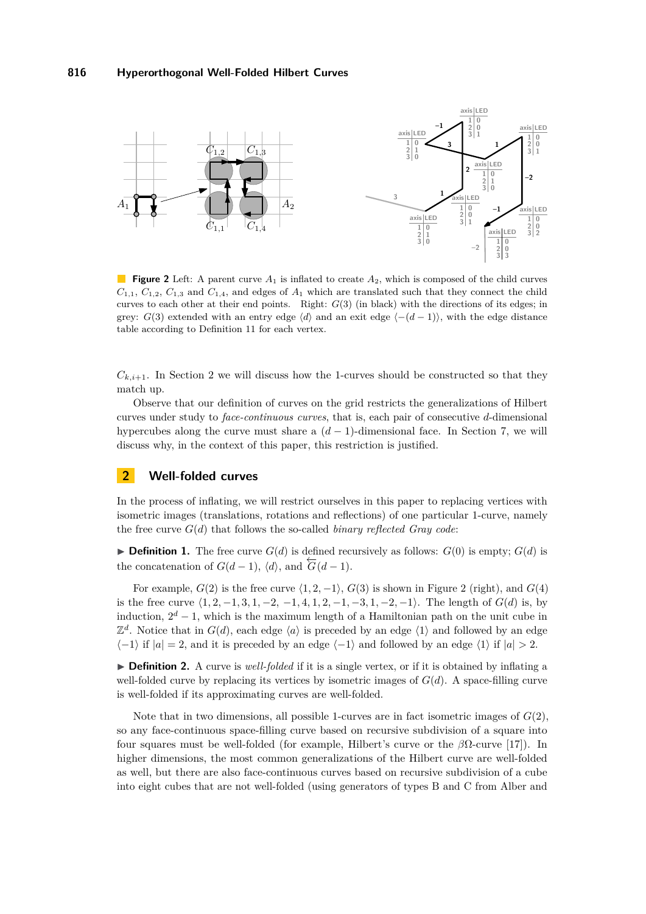<span id="page-4-1"></span>

**Figure 2** Left: A parent curve  $A_1$  is inflated to create  $A_2$ , which is composed of the child curves  $C_{1,1}$ ,  $C_{1,2}$ ,  $C_{1,3}$  and  $C_{1,4}$ , and edges of  $A_1$  which are translated such that they connect the child curves to each other at their end points. Right: *G*(3) (in black) with the directions of its edges; in grey: *G*(3) extended with an entry edge  $\langle d \rangle$  and an exit edge  $\langle -(d-1) \rangle$ , with the edge distance table according to Definition [11](#page-8-1) for each vertex.

 $C_{k,i+1}$ . In Section [2](#page-5-1) we will discuss how the 1-curves should be constructed so that they match up.

Observe that our definition of curves on the grid restricts the generalizations of Hilbert curves under study to *face-continuous curves*, that is, each pair of consecutive *d*-dimensional hypercubes along the curve must share a  $(d-1)$ -dimensional face. In Section [7,](#page-12-0) we will discuss why, in the context of this paper, this restriction is justified.

# <span id="page-4-0"></span>**2 Well-folded curves**

In the process of inflating, we will restrict ourselves in this paper to replacing vertices with isometric images (translations, rotations and reflections) of one particular 1-curve, namely the free curve *G*(*d*) that follows the so-called *binary reflected Gray code*:

 $\triangleright$  **Definition 1.** The free curve  $G(d)$  is defined recursively as follows:  $G(0)$  is empty;  $G(d)$  is the concatenation of  $G(d-1)$ ,  $\langle d \rangle$ , and  $\overleftarrow{G}(d-1)$ .

For example,  $G(2)$  is the free curve  $\langle 1, 2, -1 \rangle$  $\langle 1, 2, -1 \rangle$  $\langle 1, 2, -1 \rangle$ ,  $G(3)$  is shown in Figure 2 (right), and  $G(4)$ is the free curve  $\langle 1, 2, -1, 3, 1, -2, -1, 4, 1, 2, -1, -3, 1, -2, -1 \rangle$ . The length of  $G(d)$  is, by induction,  $2^d - 1$ , which is the maximum length of a Hamiltonian path on the unit cube in  $\mathbb{Z}^d$ . Notice that in  $G(d)$ , each edge  $\langle a \rangle$  is preceded by an edge  $\langle 1 \rangle$  and followed by an edge  $\langle -1 \rangle$  if  $|a| = 2$ , and it is preceded by an edge  $\langle -1 \rangle$  and followed by an edge  $\langle 1 \rangle$  if  $|a| > 2$ .

► **Definition 2.** A curve is *well-folded* if it is a single vertex, or if it is obtained by inflating a well-folded curve by replacing its vertices by isometric images of  $G(d)$ . A space-filling curve is well-folded if its approximating curves are well-folded.

Note that in two dimensions, all possible 1-curves are in fact isometric images of *G*(2), so any face-continuous space-filling curve based on recursive subdivision of a square into four squares must be well-folded (for example, Hilbert's curve or the *β*Ω-curve [\[17\]](#page-14-16)). In higher dimensions, the most common generalizations of the Hilbert curve are well-folded as well, but there are also face-continuous curves based on recursive subdivision of a cube into eight cubes that are not well-folded (using generators of types B and C from Alber and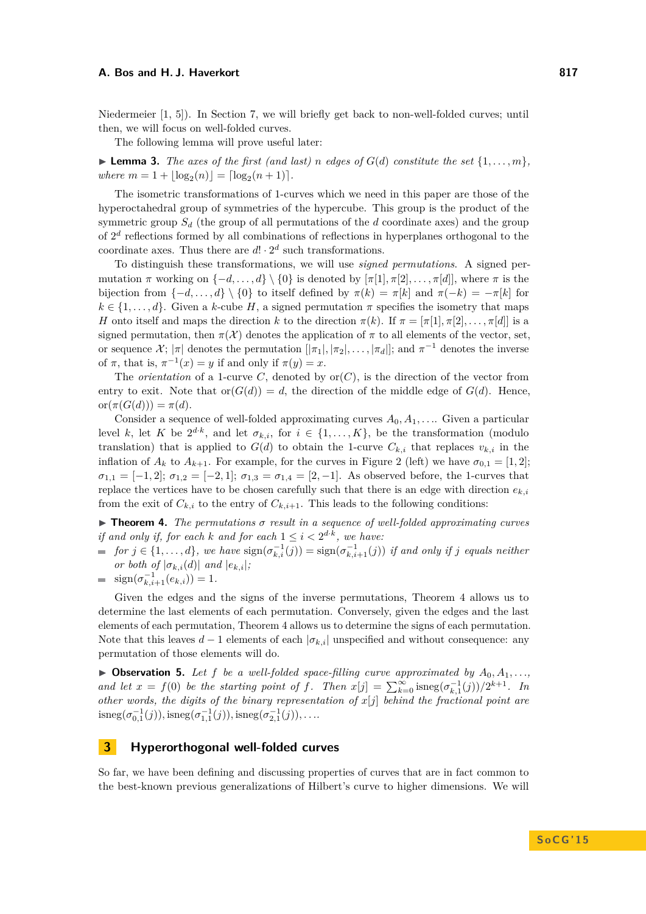Niedermeier [\[1,](#page-14-11) [5\]](#page-14-12)). In Section [7,](#page-12-0) we will briefly get back to non-well-folded curves; until then, we will focus on well-folded curves.

The following lemma will prove useful later:

<span id="page-5-1"></span>**Examma 3.** *The axes of the first (and last) n edges of*  $G(d)$  *constitute the set*  $\{1, \ldots, m\}$ *,*  $where m = 1 + \lfloor \log_2(n) \rfloor = \lceil \log_2(n+1) \rceil.$ 

The isometric transformations of 1-curves which we need in this paper are those of the hyperoctahedral group of symmetries of the hypercube. This group is the product of the symmetric group  $S_d$  (the group of all permutations of the *d* coordinate axes) and the group of  $2<sup>d</sup>$  reflections formed by all combinations of reflections in hyperplanes orthogonal to the coordinate axes. Thus there are  $d! \cdot 2^d$  such transformations.

To distinguish these transformations, we will use *signed permutations*. A signed permutation  $\pi$  working on  $\{-d, \ldots, d\} \setminus \{0\}$  is denoted by  $[\pi[1], \pi[2], \ldots, \pi[d]]$ , where  $\pi$  is the bijection from  $\{-d, \ldots, d\} \setminus \{0\}$  to itself defined by  $\pi(k) = \pi[k]$  and  $\pi(-k) = -\pi[k]$  for  $k \in \{1, \ldots, d\}$ . Given a *k*-cube *H*, a signed permutation  $\pi$  specifies the isometry that maps *H* onto itself and maps the direction *k* to the direction  $\pi(k)$ . If  $\pi = [\pi[1], \pi[2], \ldots, \pi[d]]$  is a signed permutation, then  $\pi(\mathcal{X})$  denotes the application of  $\pi$  to all elements of the vector, set, or sequence  $\mathcal{X}$ ;  $|\pi|$  denotes the permutation  $[|\pi_1|, |\pi_2|, \ldots, |\pi_d|]$ ; and  $\pi^{-1}$  denotes the inverse of  $\pi$ , that is,  $\pi^{-1}(x) = y$  if and only if  $\pi(y) = x$ .

The *orientation* of a 1-curve *C*, denoted by  $or(C)$ , is the direction of the vector from entry to exit. Note that or $(G(d)) = d$ , the direction of the middle edge of  $G(d)$ . Hence,  $or(\pi(G(d))) = \pi(d).$ 

Consider a sequence of well-folded approximating curves  $A_0, A_1, \ldots$  Given a particular level *k*, let *K* be  $2^{d \cdot k}$ , and let  $\sigma_{k,i}$ , for  $i \in \{1, ..., K\}$ , be the transformation (modulo translation) that is applied to  $G(d)$  to obtain the 1-curve  $C_{k,i}$  that replaces  $v_{k,i}$  in the inflation of  $A_k$  to  $A_{k+1}$ . For example, for the curves in Figure [2](#page-4-1) (left) we have  $\sigma_{0,1} = [1,2]$ ;  $\sigma_{1,1} = [-1,2]; \sigma_{1,2} = [-2,1]; \sigma_{1,3} = \sigma_{1,4} = [2,-1].$  As observed before, the 1-curves that replace the vertices have to be chosen carefully such that there is an edge with direction  $e_{k,i}$ from the exit of  $C_{k,i}$  to the entry of  $C_{k,i+1}$ . This leads to the following conditions:

<span id="page-5-2"></span>I **Theorem 4.** *The permutations σ result in a sequence of well-folded approximating curves if and only if, for each k and for each*  $1 \leq i < 2^{d \cdot k}$ , *we have:* 

- $for j \in \{1, \ldots, d\}$ , we have  $sign(\sigma_{k,i}^{-1}(j)) = sign(\sigma_{k,i+1}^{-1}(j))$  *if and only if j equals neither or both of*  $|\sigma_{k,i}(d)|$  *and*  $|e_{k,i}|$ ;
- $sign(\sigma_{k,i+1}^{-1}(e_{k,i})) = 1.$

Given the edges and the signs of the inverse permutations, Theorem [4](#page-5-2) allows us to determine the last elements of each permutation. Conversely, given the edges and the last elements of each permutation, Theorem [4](#page-5-2) allows us to determine the signs of each permutation. Note that this leaves  $d-1$  elements of each  $|\sigma_{k,i}|$  unspecified and without consequence: any permutation of those elements will do.

<span id="page-5-3"></span> $\triangleright$  **Observation 5.** Let f be a well-folded space-filling curve approximated by  $A_0, A_1, \ldots$ *and let*  $x = f(0)$  *be the starting point of f. Then*  $x[j] = \sum_{k=0}^{\infty} \text{isneg}(\sigma_{k,1}^{-1}(j))/2^{k+1}$ *. In other words, the digits of the binary representation of x*[*j*] *behind the fractional point are*  $\text{isneg}(\sigma_{0,1}^{-1}(j)), \text{isneg}(\sigma_{1,1}^{-1}(j)), \text{isneg}(\sigma_{2,1}^{-1}(j)), \ldots$ 

# <span id="page-5-0"></span>**3 Hyperorthogonal well-folded curves**

So far, we have been defining and discussing properties of curves that are in fact common to the best-known previous generalizations of Hilbert's curve to higher dimensions. We will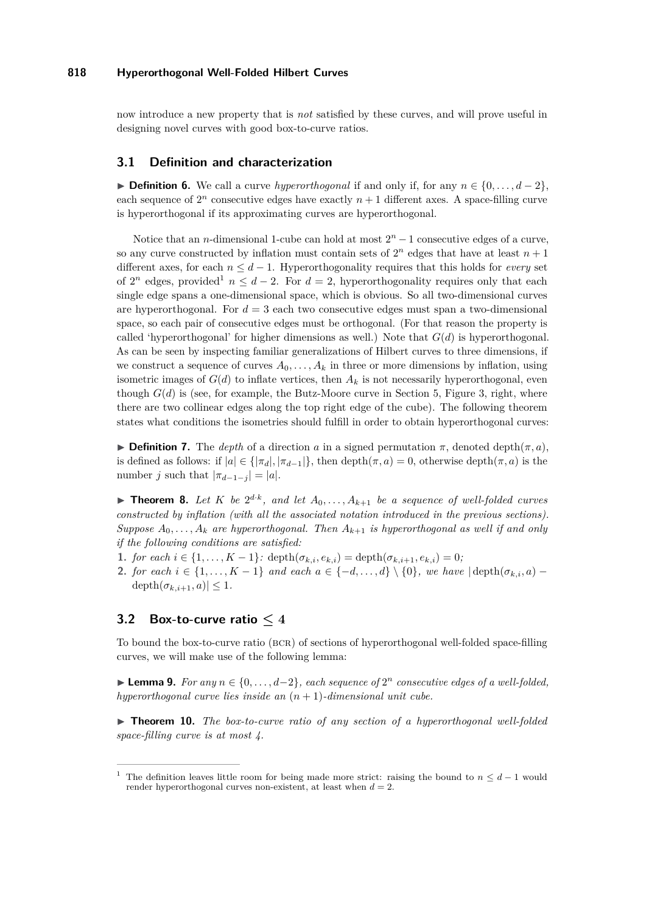now introduce a new property that is *not* satisfied by these curves, and will prove useful in designing novel curves with good box-to-curve ratios.

## **3.1 Definition and characterization**

**► Definition 6.** We call a curve *hyperorthogonal* if and only if, for any  $n \in \{0, \ldots, d-2\}$ , each sequence of  $2^n$  consecutive edges have exactly  $n+1$  different axes. A space-filling curve is hyperorthogonal if its approximating curves are hyperorthogonal.

Notice that an *n*-dimensional 1-cube can hold at most  $2<sup>n</sup> - 1$  consecutive edges of a curve, so any curve constructed by inflation must contain sets of  $2^n$  edges that have at least  $n+1$ different axes, for each  $n \leq d - 1$ . Hyperorthogonality requires that this holds for *every* set of  $2^n$  edges, provided<sup>[1](#page-6-0)</sup>  $n \leq d-2$ . For  $d=2$ , hyperorthogonality requires only that each single edge spans a one-dimensional space, which is obvious. So all two-dimensional curves are hyperorthogonal. For  $d = 3$  each two consecutive edges must span a two-dimensional space, so each pair of consecutive edges must be orthogonal. (For that reason the property is called 'hyperorthogonal' for higher dimensions as well.) Note that  $G(d)$  is hyperorthogonal. As can be seen by inspecting familiar generalizations of Hilbert curves to three dimensions, if we construct a sequence of curves  $A_0, \ldots, A_k$  in three or more dimensions by inflation, using isometric images of  $G(d)$  to inflate vertices, then  $A_k$  is not necessarily hyperorthogonal, even though  $G(d)$  is (see, for example, the Butz-Moore curve in Section [5,](#page-9-0) Figure [3,](#page-11-1) right, where there are two collinear edges along the top right edge of the cube). The following theorem states what conditions the isometries should fulfill in order to obtain hyperorthogonal curves:

**Definition 7.** The *depth* of a direction *a* in a signed permutation  $\pi$ , denoted depth $(\pi, a)$ , is defined as follows: if  $|a| \in \{|\pi_d|, |\pi_{d-1}|\}$ , then depth $(\pi, a) = 0$ , otherwise depth $(\pi, a)$  is the number *j* such that  $|\pi_{d-1-j}| = |a|$ .

<span id="page-6-2"></span>**Theorem 8.** Let K be  $2^{d \cdot k}$ , and let  $A_0, \ldots, A_{k+1}$  be a sequence of well-folded curves *constructed by inflation (with all the associated notation introduced in the previous sections). Suppose*  $A_0, \ldots, A_k$  *are hyperorthogonal. Then*  $A_{k+1}$  *is hyperorthogonal as well if and only if the following conditions are satisfied:*

- **1.** *for each*  $i \in \{1, ..., K 1\}$ : depth $(\sigma_{k,i}, e_{k,i}) = \text{depth}(\sigma_{k,i+1}, e_{k,i}) = 0$ ;
- **2.** *for each*  $i \in \{1, \ldots, K-1\}$  *and each*  $a \in \{-d, \ldots, d\} \setminus \{0\}$ *, we have*  $|\operatorname{depth}(\sigma_{k,i}, a) \left|\frac{\text{depth}(\sigma_{k,i+1},a)}{\leq 1.}\right|$

# **3.2 Box-to-curve ratio ≤ 4**

To bound the box-to-curve ratio (bcr) of sections of hyperorthogonal well-folded space-filling curves, we will make use of the following lemma:

<span id="page-6-3"></span>**► Lemma 9.** *For any*  $n \in \{0, \ldots, d-2\}$ , each sequence of  $2^n$  consecutive edges of a well-folded, *hyperorthogonal curve lies inside an* (*n* + 1)*-dimensional unit cube.*

<span id="page-6-1"></span> $\triangleright$  **Theorem 10.** The box-to-curve ratio of any section of a hyperorthogonal well-folded *space-filling curve is at most 4.*

<span id="page-6-0"></span><sup>&</sup>lt;sup>1</sup> The definition leaves little room for being made more strict: raising the bound to  $n \leq d-1$  would render hyperorthogonal curves non-existent, at least when  $d = 2$ .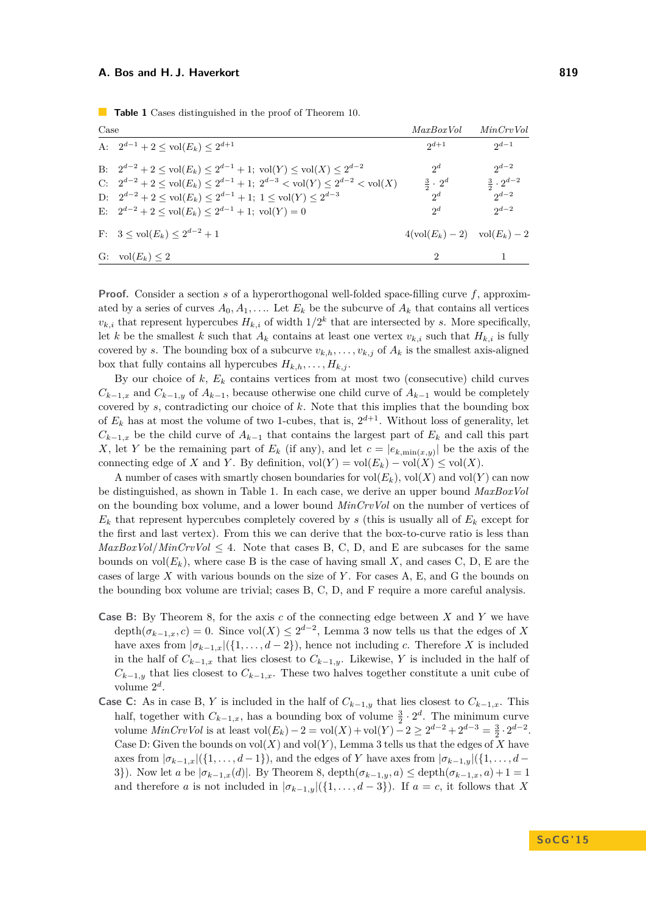<span id="page-7-0"></span>**Table 1** Cases distinguished in the proof of Theorem [10.](#page-6-1)

| Case |                                                                                                                 | MaxBoxVol                                          | MinCrvVol                   |  |
|------|-----------------------------------------------------------------------------------------------------------------|----------------------------------------------------|-----------------------------|--|
|      | A: $2^{d-1} + 2 \leq \text{vol}(E_k) \leq 2^{d+1}$                                                              | $2^{d+1}$                                          | $2^{d-1}$                   |  |
|      | B: $2^{d-2} + 2 \leq \text{vol}(E_k) \leq 2^{d-1} + 1$ ; $\text{vol}(Y) \leq \text{vol}(X) \leq 2^{d-2}$        | $2^d$                                              | $2^{d-2}$                   |  |
|      | C: $2^{d-2} + 2 \leq \text{vol}(E_k) \leq 2^{d-1} + 1$ ; $2^{d-3} < \text{vol}(Y) \leq 2^{d-2} < \text{vol}(X)$ | $\frac{3}{2} \cdot 2^d$                            | $\frac{3}{2} \cdot 2^{d-2}$ |  |
|      | D: $2^{d-2} + 2 \leq \text{vol}(E_k) \leq 2^{d-1} + 1$ ; $1 \leq \text{vol}(Y) \leq 2^{d-3}$                    | $2^d$                                              | $2^{d-2}$                   |  |
|      | E: $2^{d-2} + 2 \leq \text{vol}(E_k) \leq 2^{d-1} + 1$ ; $\text{vol}(Y) = 0$                                    | $2^d$                                              | $2^{d-2}$                   |  |
|      | F: $3 \leq \text{vol}(E_k) \leq 2^{d-2} + 1$                                                                    | $4(\text{vol}(E_k) - 2) \quad \text{vol}(E_k) - 2$ |                             |  |
|      | G: $vol(E_k) \leq 2$                                                                                            | 2                                                  |                             |  |

**Proof.** Consider a section *s* of a hyperorthogonal well-folded space-filling curve *f*, approximated by a series of curves  $A_0, A_1, \ldots$  Let  $E_k$  be the subcurve of  $A_k$  that contains all vertices  $v_{k,i}$  that represent hypercubes  $H_{k,i}$  of width  $1/2^k$  that are intersected by *s*. More specifically, let *k* be the smallest *k* such that  $A_k$  contains at least one vertex  $v_{k,i}$  such that  $H_{k,i}$  is fully covered by *s*. The bounding box of a subcurve  $v_{k,h}, \ldots, v_{k,j}$  of  $A_k$  is the smallest axis-aligned box that fully contains all hypercubes  $H_{k,h}, \ldots, H_{k,j}$ .

By our choice of *k*, *E<sup>k</sup>* contains vertices from at most two (consecutive) child curves  $C_{k-1,x}$  and  $C_{k-1,y}$  of  $A_{k-1}$ , because otherwise one child curve of  $A_{k-1}$  would be completely covered by *s*, contradicting our choice of *k*. Note that this implies that the bounding box of  $E_k$  has at most the volume of two 1-cubes, that is,  $2^{d+1}$ . Without loss of generality, let  $C_{k-1,x}$  be the child curve of  $A_{k-1}$  that contains the largest part of  $E_k$  and call this part *X*, let *Y* be the remaining part of  $E_k$  (if any), and let  $c = |e_{k,\min(x,y)}|$  be the axis of the connecting edge of *X* and *Y*. By definition,  $vol(Y) = vol(E_k) - vol(X) \le vol(X)$ .

A number of cases with smartly chosen boundaries for  $vol(E_k)$ ,  $vol(X)$  and  $vol(Y)$  can now be distinguished, as shown in Table [1.](#page-7-0) In each case, we derive an upper bound *MaxBoxVol* on the bounding box volume, and a lower bound *MinCrvVol* on the number of vertices of  $E_k$  that represent hypercubes completely covered by *s* (this is usually all of  $E_k$  except for the first and last vertex). From this we can derive that the box-to-curve ratio is less than  $MaxBoxVol/MinCrvVol \leq 4$ . Note that cases B, C, D, and E are subcases for the same bounds on  $vol(E_k)$ , where case B is the case of having small X, and cases C, D, E are the cases of large *X* with various bounds on the size of *Y* . For cases A, E, and G the bounds on the bounding box volume are trivial; cases B, C, D, and F require a more careful analysis.

- **Case B:** By Theorem [8,](#page-6-2) for the axis *c* of the connecting edge between *X* and *Y* we have  $depth(\sigma_{k-1,x}, c) = 0$ . Since vol(*X*) ≤ 2<sup>*d*−2</sup>, Lemma [3](#page-5-1) now tells us that the edges of *X* have axes from  $|\sigma_{k-1,x}|({1,\ldots,d-2})$ , hence not including *c*. Therefore *X* is included in the half of  $C_{k-1,x}$  that lies closest to  $C_{k-1,y}$ . Likewise, Y is included in the half of  $C_{k-1,y}$  that lies closest to  $C_{k-1,x}$ . These two halves together constitute a unit cube of volume  $2^d$ .
- **Case C:** As in case B, *Y* is included in the half of  $C_{k-1,y}$  that lies closest to  $C_{k-1,x}$ . This half, together with  $C_{k-1,x}$ , has a bounding box of volume  $\frac{3}{2} \cdot 2^d$ . The minimum curve volume  $MinCrvVol$  is at least  $vol(E_k) - 2 = vol(X) + vol(Y) - 2 \geq 2^{d-2} + 2^{d-3} = \frac{3}{2} \cdot 2^{d-2}$ . Case D: Given the bounds on  $vol(X)$  and  $vol(Y)$ , Lemma [3](#page-5-1) tells us that the edges of X have axes from  $|\sigma_{k-1,x}|({1,\ldots,d-1})$ , and the edges of *Y* have axes from  $|\sigma_{k-1,y}|({1,\ldots,d-1})$ 3}). Now let *a* be  $|\sigma_{k-1,x}(d)|$ . By Theorem [8,](#page-6-2) depth $(\sigma_{k-1,y}, a) \leq \text{depth}(\sigma_{k-1,x}, a) + 1 = 1$ and therefore *a* is not included in  $|\sigma_{k-1,y}|(\{1,\ldots,d-3\})$ . If  $a = c$ , it follows that *X*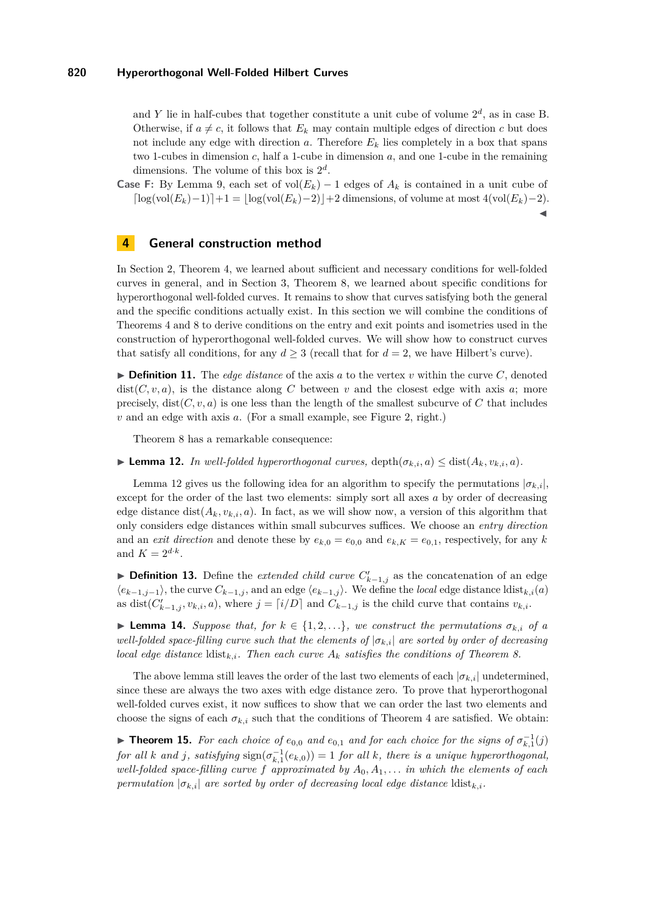and *Y* lie in half-cubes that together constitute a unit cube of volume  $2^d$ , as in case B. Otherwise, if  $a \neq c$ , it follows that  $E_k$  may contain multiple edges of direction *c* but does not include any edge with direction  $a$ . Therefore  $E_k$  lies completely in a box that spans two 1-cubes in dimension *c*, half a 1-cube in dimension *a*, and one 1-cube in the remaining dimensions. The volume of this box is  $2^d$ .

**Case F:** By Lemma [9,](#page-6-3) each set of  $vol(E_k) - 1$  edges of  $A_k$  is contained in a unit cube of  $\log(\text{vol}(E_k)-1)+1 = |\log(\text{vol}(E_k)-2)|+2$  dimensions, of volume at most  $4(\text{vol}(E_k)-2)$ . J

# <span id="page-8-0"></span>**4 General construction method**

In Section [2,](#page-4-0) Theorem [4,](#page-5-2) we learned about sufficient and necessary conditions for well-folded curves in general, and in Section [3,](#page-5-0) Theorem [8,](#page-6-2) we learned about specific conditions for hyperorthogonal well-folded curves. It remains to show that curves satisfying both the general and the specific conditions actually exist. In this section we will combine the conditions of Theorems [4](#page-5-2) and [8](#page-6-2) to derive conditions on the entry and exit points and isometries used in the construction of hyperorthogonal well-folded curves. We will show how to construct curves that satisfy all conditions, for any  $d \geq 3$  (recall that for  $d = 2$ , we have Hilbert's curve).

<span id="page-8-1"></span> $\triangleright$  **Definition 11.** The *edge distance* of the axis *a* to the vertex *v* within the curve *C*, denoted dist $(C, v, a)$ , is the distance along C between v and the closest edge with axis a; more precisely,  $dist(C, v, a)$  is one less than the length of the smallest subcurve of  $C$  that includes *v* and an edge with axis *a*. (For a small example, see Figure [2,](#page-4-1) right.)

Theorem [8](#page-6-2) has a remarkable consequence:

<span id="page-8-2"></span> $\blacktriangleright$  **Lemma 12.** *In well-folded hyperorthogonal curves,* depth $(\sigma_{k,i}, a) ≤ dist(A_k, v_{k,i}, a)$ *.* 

Lemma [12](#page-8-2) gives us the following idea for an algorithm to specify the permutations  $|\sigma_{k,i}|$ , except for the order of the last two elements: simply sort all axes *a* by order of decreasing edge distance  $dist(A_k, v_{k,i}, a)$ . In fact, as we will show now, a version of this algorithm that only considers edge distances within small subcurves suffices. We choose an *entry direction* and an *exit direction* and denote these by  $e_{k,0} = e_{0,0}$  and  $e_{k,K} = e_{0,1}$ , respectively, for any *k* and  $K = 2^{d \cdot k}$ .

<span id="page-8-4"></span>**Definition 13.** Define the *extended child curve*  $C'_{k-1,j}$  as the concatenation of an edge  $\langle e_{k-1,j-1} \rangle$ , the curve  $C_{k-1,j}$ , and an edge  $\langle e_{k-1,j} \rangle$ . We define the *local* edge distance ldist<sub>*ki*</sub>(*a*) as dist $(C'_{k-1,j}, v_{k,i}, a)$ , where  $j = \lceil i/D \rceil$  and  $C_{k-1,j}$  is the child curve that contains  $v_{k,i}$ .

<span id="page-8-5"></span>**► Lemma 14.** *Suppose that, for*  $k \in \{1, 2, ...\}$ *, we construct the permutations*  $σ_{k,i}$  *of a well-folded space-filling curve such that the elements of*  $|\sigma_{k,i}|$  *are sorted by order of decreasing local edge distance*  $ld{ist_{k,i}}$ *. Then each curve*  $A_k$  *satisfies the conditions of Theorem [8.](#page-6-2)* 

The above lemma still leaves the order of the last two elements of each  $|\sigma_{k,i}|$  undetermined, since these are always the two axes with edge distance zero. To prove that hyperorthogonal well-folded curves exist, it now suffices to show that we can order the last two elements and choose the signs of each  $\sigma_{k,i}$  such that the conditions of Theorem [4](#page-5-2) are satisfied. We obtain:

<span id="page-8-3"></span>► **Theorem 15.** For each choice of  $e_{0,0}$  and  $e_{0,1}$  and for each choice for the signs of  $\sigma_{k,1}^{-1}(j)$  $for \ all \ k \ and \ j, \ satisfying \ \text{sign}(\sigma_{k,1}^{-1}(e_{k,0})) = 1 \ for \ all \ k, \ there \ is \ a \ unique \ hyperorthogonal,$ *well-folded space-filling curve*  $f$  *approximated by*  $A_0, A_1, \ldots$  *in which the elements of each permutation*  $|\sigma_{k,i}|$  *are sorted by order of decreasing local edge distance* ldist<sub>*k,i*</sub>.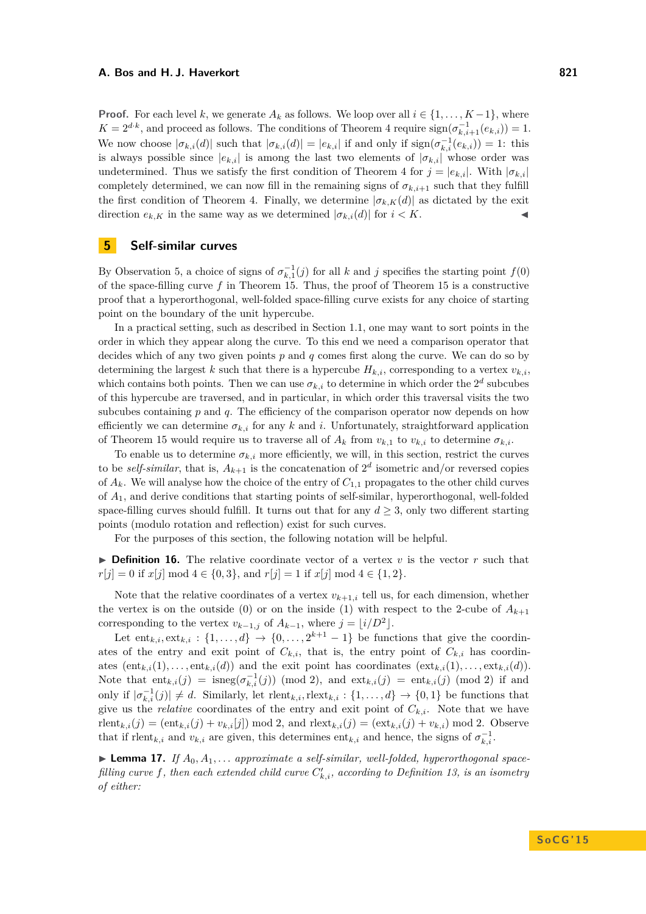**Proof.** For each level *k*, we generate  $A_k$  as follows. We loop over all  $i \in \{1, \ldots, K-1\}$ , where  $K = 2^{d \cdot k}$ , and proceed as follows. The conditions of Theorem [4](#page-5-2) require  $sign(\sigma_{k,i+1}^{-1}(e_{k,i})) = 1$ . We now choose  $|\sigma_{k,i}(d)|$  such that  $|\sigma_{k,i}(d)| = |e_{k,i}|$  if and only if  $sign(\sigma_{k,i}^{-1}(e_{k,i})) = 1$ : this is always possible since  $|e_{k,i}|$  is among the last two elements of  $|\sigma_{k,i}|$  whose order was undetermined. Thus we satisfy the first condition of Theorem [4](#page-5-2) for  $j = |e_{k,i}|$ . With  $|\sigma_{k,i}|$ completely determined, we can now fill in the remaining signs of  $\sigma_{k,i+1}$  such that they fulfill the first condition of Theorem [4.](#page-5-2) Finally, we determine  $|\sigma_{k,K}(d)|$  as dictated by the exit direction  $e_{k,K}$  in the same way as we determined  $|\sigma_{k,i}(d)|$  for  $i < K$ .

## <span id="page-9-0"></span>**5 Self-similar curves**

By Observation [5,](#page-5-3) a choice of signs of  $\sigma_{k,1}^{-1}(j)$  for all *k* and *j* specifies the starting point  $f(0)$ of the space-filling curve  $f$  in Theorem [15.](#page-8-3) Thus, the proof of Theorem [15](#page-8-3) is a constructive proof that a hyperorthogonal, well-folded space-filling curve exists for any choice of starting point on the boundary of the unit hypercube.

In a practical setting, such as described in Section [1.1,](#page-0-0) one may want to sort points in the order in which they appear along the curve. To this end we need a comparison operator that decides which of any two given points *p* and *q* comes first along the curve. We can do so by determining the largest *k* such that there is a hypercube  $H_{k,i}$ , corresponding to a vertex  $v_{k,i}$ , which contains both points. Then we can use  $\sigma_{k,i}$  to determine in which order the  $2^d$  subcubes of this hypercube are traversed, and in particular, in which order this traversal visits the two subcubes containing *p* and *q*. The efficiency of the comparison operator now depends on how efficiently we can determine  $\sigma_{k,i}$  for any  $k$  and  $i$ . Unfortunately, straightforward application of Theorem [15](#page-8-3) would require us to traverse all of  $A_k$  from  $v_{k,1}$  to  $v_{k,i}$  to determine  $\sigma_{k,i}$ .

To enable us to determine  $\sigma_{k,i}$  more efficiently, we will, in this section, restrict the curves to be *self-similar*, that is,  $A_{k+1}$  is the concatenation of  $2^d$  isometric and/or reversed copies of  $A_k$ . We will analyse how the choice of the entry of  $C_{1,1}$  propagates to the other child curves of *A*1, and derive conditions that starting points of self-similar, hyperorthogonal, well-folded space-filling curves should fulfill. It turns out that for any  $d \geq 3$ , only two different starting points (modulo rotation and reflection) exist for such curves.

For the purposes of this section, the following notation will be helpful.

**Definition 16.** The relative coordinate vector of a vertex  $v$  is the vector  $r$  such that  $r[j] = 0$  if  $x[j] \mod 4 \in \{0,3\}$ , and  $r[j] = 1$  if  $x[j] \mod 4 \in \{1,2\}$ .

Note that the relative coordinates of a vertex  $v_{k+1,i}$  tell us, for each dimension, whether the vertex is on the outside (0) or on the inside (1) with respect to the 2-cube of  $A_{k+1}$ corresponding to the vertex  $v_{k-1,j}$  of  $A_{k-1}$ , where  $j = \lfloor i/D^2 \rfloor$ .

Let  $\text{ent}_{k,i}, \text{ext}_{k,i} : \{1, \ldots, d\} \to \{0, \ldots, 2^{k+1} - 1\}$  be functions that give the coordinates of the entry and exit point of  $C_{k,i}$ , that is, the entry point of  $C_{k,i}$  has coordinates  $(\text{ent}_{k,i}(1), \ldots, \text{ent}_{k,i}(d))$  and the exit point has coordinates  $(\text{ext}_{k,i}(1), \ldots, \text{ext}_{k,i}(d))$ . Note that  $ent_{k,i}(j) = \text{isneg}(\sigma_{k,i}^{-1}(j)) \pmod{2}$ , and  $ext_{k,i}(j) = ent_{k,i}(j) \pmod{2}$  if and only if  $|\sigma_{k,i}^{-1}(j)| \neq d$ . Similarly, let rlent<sub>*k,i*</sub>,rlext<sub>*k,i*</sub> : {1,...,*d*}  $\rightarrow$  {0,1} be functions that give us the *relative* coordinates of the entry and exit point of  $C_{k,i}$ . Note that we have  $\text{relent}_{k,i}(j) = (\text{ent}_{k,i}(j) + v_{k,i}[j]) \mod 2$ , and  $\text{relext}_{k,i}(j) = (\text{ext}_{k,i}(j) + v_{k,i}) \mod 2$ . Observe that if rlent<sub>*k*,*i*</sub> and  $v_{k,i}$  are given, this determines ent<sub>*k*,*i*</sub> and hence, the signs of  $\sigma_{k,i}^{-1}$ .

<span id="page-9-1"></span>**Lemma 17.** If  $A_0, A_1, \ldots$  approximate a self-similar, well-folded, hyperorthogonal space $filling curve f$ , then each extended child curve  $C'_{k,i}$ , according to Definition [13,](#page-8-4) is an isometry *of either:*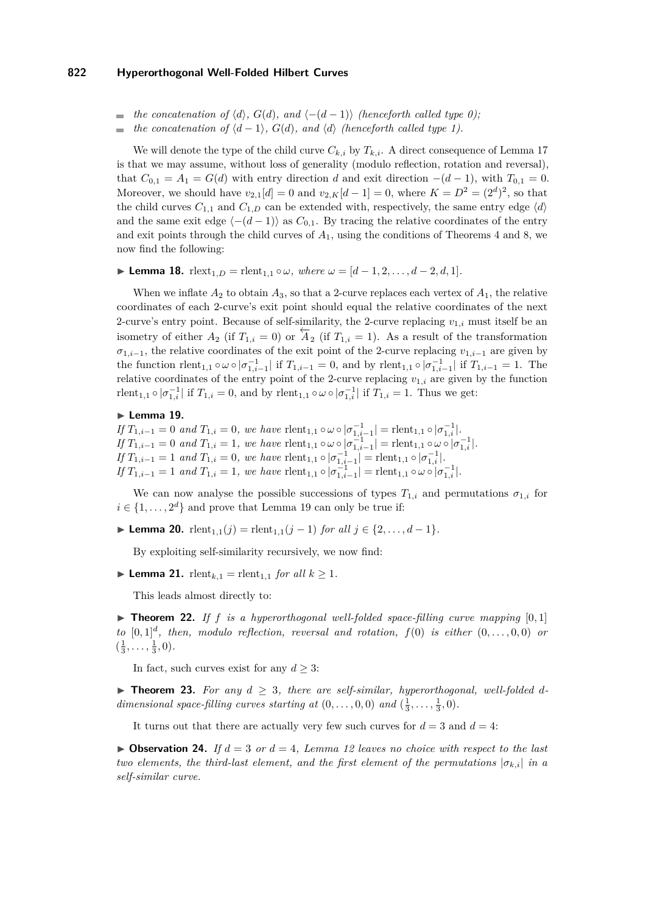- $\blacktriangleright$  *the concatenation of*  $\langle d \rangle$ ,  $G(d)$ , and  $\langle -(d-1) \rangle$  *(henceforth called type 0);*
- *the concatenation of*  $\langle d-1 \rangle$ *,*  $G(d)$ *, and*  $\langle d \rangle$  *(henceforth called type 1).*  $\overline{a}$

We will denote the type of the child curve  $C_{k,i}$  by  $T_{k,i}$ . A direct consequence of Lemma [17](#page-9-1) is that we may assume, without loss of generality (modulo reflection, rotation and reversal), that  $C_{0,1} = A_1 = G(d)$  with entry direction *d* and exit direction  $-(d-1)$ , with  $T_{0,1} = 0$ . Moreover, we should have  $v_{2,1}[d] = 0$  and  $v_{2,K}[d-1] = 0$ , where  $K = D^2 = (2^d)^2$ , so that the child curves  $C_{1,1}$  and  $C_{1,D}$  can be extended with, respectively, the same entry edge  $\langle d \rangle$ and the same exit edge  $\langle -(d-1) \rangle$  as  $C_{0,1}$ . By tracing the relative coordinates of the entry and exit points through the child curves of  $A_1$ , using the conditions of Theorems [4](#page-5-2) and [8,](#page-6-2) we now find the following:

► **Lemma 18.**  $rel_{1,D} =$  $rel_{1,1} \circ \omega$ *, where*  $\omega = [d-1, 2, \ldots, d-2, d, 1].$ 

When we inflate  $A_2$  to obtain  $A_3$ , so that a 2-curve replaces each vertex of  $A_1$ , the relative coordinates of each 2-curve's exit point should equal the relative coordinates of the next 2-curve's entry point. Because of self-similarity, the 2-curve replacing  $v_{1,i}$  must itself be an isometry of either  $A_2$  (if  $T_{1,i} = 0$ ) or  $\overleftarrow{A}_2$  (if  $T_{1,i} = 1$ ). As a result of the transformation  $\sigma_{1,i-1}$ , the relative coordinates of the exit point of the 2-curve replacing  $v_{1,i-1}$  are given by the function  $\text{rlent}_{1,1} \circ \omega \circ |\sigma_{1,i-1}^{-1}|$  if  $T_{1,i-1} = 0$ , and by  $\text{rlent}_{1,1} \circ |\sigma_{1,i-1}^{-1}|$  if  $T_{1,i-1} = 1$ . The relative coordinates of the entry point of the 2-curve replacing  $v_{1,i}$  are given by the function rlent<sub>1,1</sub>  $\circ |\sigma_{1,i}^{-1}|$  if  $T_{1,i} = 0$ , and by rlent<sub>1,1</sub>  $\circ \omega \circ |\sigma_{1,i}^{-1}|$  if  $T_{1,i} = 1$ . Thus we get:

#### <span id="page-10-0"></span>► Lemma 19.

 $If T_{1,i-1} = 0 \text{ and } T_{1,i} = 0, \text{ we have } \text{rlent}_{1,1} \circ \omega \circ |\sigma_{1,i-1}^{-1}| = \text{rlent}_{1,1} \circ |\sigma_{1,i}^{-1}|.$  $If T_{1,i-1} = 0 \text{ and } T_{1,i} = 1, \text{ we have } \text{rlent}_{1,1} \circ \omega \circ |\sigma_{1,i-1}^{-1}| = \text{rlent}_{1,1} \circ \omega \circ |\sigma_{1,i}^{-1}|.$  $If T_{1,i-1} = 1 \text{ and } T_{1,i} = 0, \text{ we have } \text{rlent}_{1,1} \circ |\sigma_{1,i-1}^{-1}| = \text{rlent}_{1,1} \circ |\sigma_{1,i}^{-1}|.$  $If T_{1,i-1} = 1 \text{ and } T_{1,i} = 1, \text{ we have } \text{rlent}_{1,1} \circ |\sigma_{1,i-1}^{-1}| = \text{rlent}_{1,1} \circ \omega \circ |\sigma_{1,i}^{-1}|.$ 

We can now analyse the possible successions of types  $T_{1,i}$  and permutations  $\sigma_{1,i}$  for  $i \in \{1, \ldots, 2^d\}$  and prove that Lemma [19](#page-10-0) can only be true if:

**► Lemma 20.**  $\text{rlen}_{1,1}(j) = \text{rlen}_{1,1}(j-1)$  *for all*  $j \in \{2, ..., d-1\}$ *.* 

By exploiting self-similarity recursively, we now find:

▶ **Lemma 21.**  $\text{rlent}_{k,1} = \text{rlent}_{1,1}$  *for all*  $k \ge 1$ *.* 

This leads almost directly to:

<span id="page-10-1"></span> $\triangleright$  **Theorem 22.** If *f* is a hyperorthogonal well-folded space-filling curve mapping [0,1] *to*  $[0,1]^d$ , then, modulo reflection, reversal and rotation,  $f(0)$  is either  $(0,\ldots,0,0)$  or  $(\frac{1}{3}, \ldots, \frac{1}{3}, 0).$ 

In fact, such curves exist for any  $d \geq 3$ :

<span id="page-10-3"></span> $\triangleright$  **Theorem 23.** For any  $d > 3$ , there are self-similar, hyperorthogonal, well-folded d*dimensional space-filling curves starting at*  $(0, \ldots, 0, 0)$  *and*  $(\frac{1}{3}, \ldots, \frac{1}{3}, 0)$ *.* 

It turns out that there are actually very few such curves for  $d = 3$  and  $d = 4$ :

<span id="page-10-2"></span> $\triangleright$  **Observation 24.** *If*  $d = 3$  *or*  $d = 4$ *, Lemma [12](#page-8-2) leaves no choice with respect to the last two elements, the third-last element, and the first element of the permutations*  $|\sigma_{k,i}|$  *in a self-similar curve.*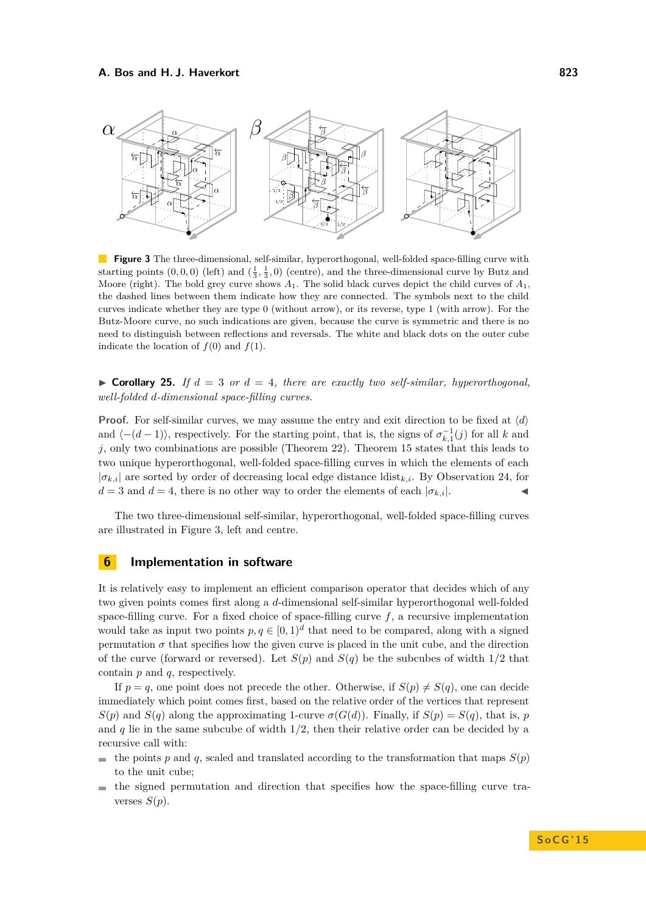<span id="page-11-1"></span>

**Figure 3** The three-dimensional, self-similar, hyperorthogonal, well-folded space-filling curve with starting points  $(0,0,0)$  (left) and  $(\frac{1}{3},\frac{1}{3},0)$  (centre), and the three-dimensional curve by Butz and Moore (right). The bold grey curve shows  $A_1$ . The solid black curves depict the child curves of  $A_1$ , the dashed lines between them indicate how they are connected. The symbols next to the child curves indicate whether they are type 0 (without arrow), or its reverse, type 1 (with arrow). For the Butz-Moore curve, no such indications are given, because the curve is symmetric and there is no need to distinguish between reflections and reversals. The white and black dots on the outer cube indicate the location of  $f(0)$  and  $f(1)$ .

**Corollary 25.** If  $d = 3$  or  $d = 4$ , there are exactly two self-similar, hyperorthogonal, *well-folded d-dimensional space-filling curves.*

**Proof.** For self-similar curves, we may assume the entry and exit direction to be fixed at  $\langle d \rangle$ and  $\langle -(d-1) \rangle$ , respectively. For the starting point, that is, the signs of  $\sigma_{k,1}^{-1}(j)$  for all *k* and *j*, only two combinations are possible (Theorem [22\)](#page-10-1). Theorem [15](#page-8-3) states that this leads to two unique hyperorthogonal, well-folded space-filling curves in which the elements of each  $|\sigma_{k,i}|$  are sorted by order of decreasing local edge distance ldist<sub>k,i</sub>. By Observation [24,](#page-10-2) for  $d = 3$  and  $d = 4$ , there is no other way to order the elements of each  $|\sigma_{k,i}|$ .

The two three-dimensional self-similar, hyperorthogonal, well-folded space-filling curves are illustrated in Figure [3,](#page-11-1) left and centre.

## <span id="page-11-0"></span>**6 Implementation in software**

It is relatively easy to implement an efficient comparison operator that decides which of any two given points comes first along a *d*-dimensional self-similar hyperorthogonal well-folded space-filling curve. For a fixed choice of space-filling curve *f*, a recursive implementation would take as input two points  $p, q \in [0, 1]^d$  that need to be compared, along with a signed permutation  $\sigma$  that specifies how the given curve is placed in the unit cube, and the direction of the curve (forward or reversed). Let  $S(p)$  and  $S(q)$  be the subcubes of width  $1/2$  that contain *p* and *q*, respectively.

If  $p = q$ , one point does not precede the other. Otherwise, if  $S(p) \neq S(q)$ , one can decide immediately which point comes first, based on the relative order of the vertices that represent  $S(p)$  and  $S(q)$  along the approximating 1-curve  $\sigma(G(d))$ . Finally, if  $S(p) = S(q)$ , that is, *p* and  $q$  lie in the same subcube of width  $1/2$ , then their relative order can be decided by a recursive call with:

- the points p and q, scaled and translated according to the transformation that maps  $S(p)$  $\rightarrow$ to the unit cube;
- the signed permutation and direction that specifies how the space-filling curve tra- $\rightarrow$ verses  $S(p)$ .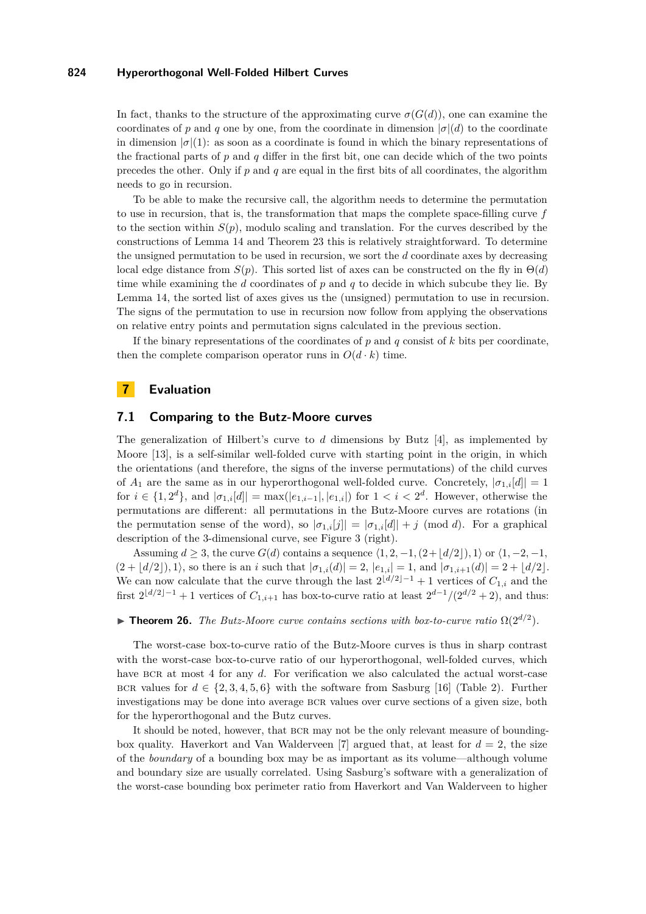In fact, thanks to the structure of the approximating curve  $\sigma(G(d))$ , one can examine the coordinates of *p* and *q* one by one, from the coordinate in dimension  $|\sigma|$ (*d*) to the coordinate in dimension  $|\sigma|(1)$ : as soon as a coordinate is found in which the binary representations of the fractional parts of  $p$  and  $q$  differ in the first bit, one can decide which of the two points precedes the other. Only if *p* and *q* are equal in the first bits of all coordinates, the algorithm needs to go in recursion.

To be able to make the recursive call, the algorithm needs to determine the permutation to use in recursion, that is, the transformation that maps the complete space-filling curve *f* to the section within  $S(p)$ , modulo scaling and translation. For the curves described by the constructions of Lemma [14](#page-8-5) and Theorem [23](#page-10-3) this is relatively straightforward. To determine the unsigned permutation to be used in recursion, we sort the *d* coordinate axes by decreasing local edge distance from  $S(p)$ . This sorted list of axes can be constructed on the fly in  $\Theta(d)$ time while examining the *d* coordinates of *p* and *q* to decide in which subcube they lie. By Lemma [14,](#page-8-5) the sorted list of axes gives us the (unsigned) permutation to use in recursion. The signs of the permutation to use in recursion now follow from applying the observations on relative entry points and permutation signs calculated in the previous section.

If the binary representations of the coordinates of *p* and *q* consist of *k* bits per coordinate, then the complete comparison operator runs in  $O(d \cdot k)$  time.

# <span id="page-12-0"></span>**7 Evaluation**

### **7.1 Comparing to the Butz-Moore curves**

The generalization of Hilbert's curve to *d* dimensions by Butz [\[4\]](#page-14-14), as implemented by Moore [\[13\]](#page-14-15), is a self-similar well-folded curve with starting point in the origin, in which the orientations (and therefore, the signs of the inverse permutations) of the child curves of  $A_1$  are the same as in our hyperorthogonal well-folded curve. Concretely,  $|\sigma_{1,i}[d]| = 1$ for  $i \in \{1, 2^d\}$ , and  $|\sigma_{1,i}[d]| = \max(|e_{1,i-1}|, |e_{1,i}|)$  for  $1 < i < 2^d$ . However, otherwise the permutations are different: all permutations in the Butz-Moore curves are rotations (in the permutation sense of the word), so  $|\sigma_{1,i}[j]| = |\sigma_{1,i}[d]| + j \pmod{d}$ . For a graphical description of the 3-dimensional curve, see Figure [3](#page-11-1) (right).

Assuming  $d \geq 3$ , the curve  $G(d)$  contains a sequence  $\langle 1, 2, -1, (2+\lfloor d/2 \rfloor), 1 \rangle$  or  $\langle 1, -2, -1,$  $(2 + |d/2|), 1$ , so there is an *i* such that  $|\sigma_{1,i}(d)| = 2$ ,  $|e_{1,i}| = 1$ , and  $|\sigma_{1,i+1}(d)| = 2 + |d/2|$ . We can now calculate that the curve through the last  $2\lfloor d/2\rfloor - 1 + 1$  vertices of  $C_{1,i}$  and the first  $2^{\lfloor d/2 \rfloor - 1} + 1$  vertices of  $C_{1,i+1}$  has box-to-curve ratio at least  $2^{d-1}/(2^{d/2} + 2)$ , and thus:

**Theorem 26.** *The Butz-Moore curve contains sections with box-to-curve ratio*  $\Omega(2^{d/2})$ *.* 

The worst-case box-to-curve ratio of the Butz-Moore curves is thus in sharp contrast with the worst-case box-to-curve ratio of our hyperorthogonal, well-folded curves, which have BCR at most 4 for any d. For verification we also calculated the actual worst-case BCR values for  $d \in \{2, 3, 4, 5, 6\}$  with the software from Sasburg [\[16\]](#page-14-17) (Table [2\)](#page-13-0). Further investigations may be done into average bcr values over curve sections of a given size, both for the hyperorthogonal and the Butz curves.

It should be noted, however, that BCR may not be the only relevant measure of bounding-box quality. Haverkort and Van Walderveen [\[7\]](#page-14-2) argued that, at least for  $d = 2$ , the size of the *boundary* of a bounding box may be as important as its volume—although volume and boundary size are usually correlated. Using Sasburg's software with a generalization of the worst-case bounding box perimeter ratio from Haverkort and Van Walderveen to higher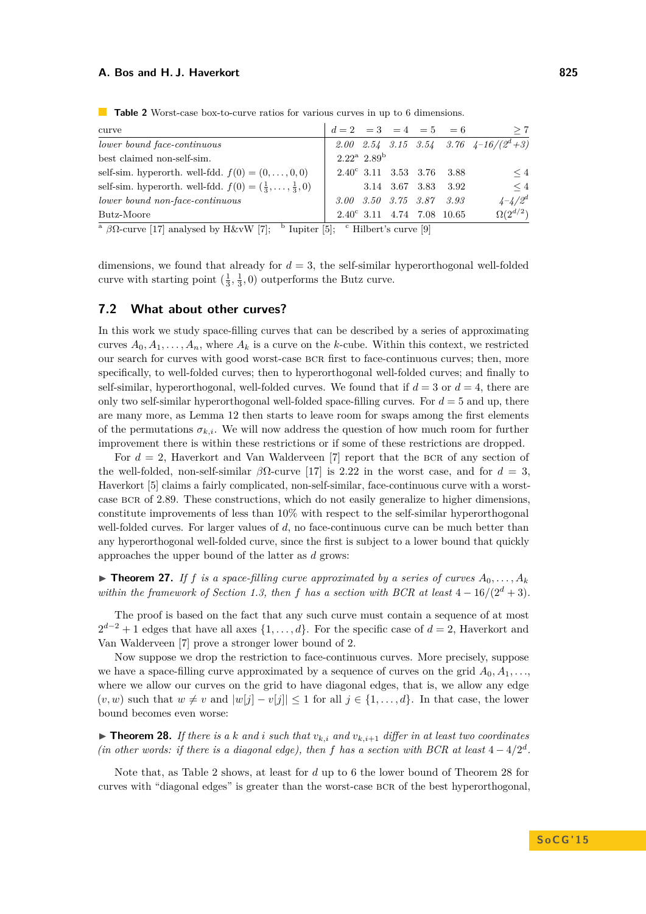| curve                                                                         | $d=2$ = 3 = 4 = 5 = 6 |                               |            |                                     | >7                                      |
|-------------------------------------------------------------------------------|-----------------------|-------------------------------|------------|-------------------------------------|-----------------------------------------|
| lower bound face-continuous                                                   |                       |                               |            |                                     | 2.00 2.54 3.15 3.54 3.76 $4-16/(2^d+3)$ |
| best claimed non-self-sim.                                                    |                       | $2.22^{\rm a}$ $2.89^{\rm b}$ |            |                                     |                                         |
| self-sim. hyperorth. well-fdd. $f(0) = (0, \ldots, 0, 0)$                     |                       | $2.40^{\circ}$ 3.11 3.53 3.76 |            | -3.88                               | $\leq 4$                                |
| self-sim. hyperorth. well-fdd. $f(0) = (\frac{1}{3}, \ldots, \frac{1}{3}, 0)$ |                       |                               |            | 3.14 3.67 3.83 3.92                 | $\leq 4$                                |
| lower bound non-face-continuous                                               |                       |                               |            | 3.00 3.50 3.75 3.87 3.93            | $4 - 4/2^d$                             |
| Butz-Moore                                                                    |                       |                               |            | $2.40^{\circ}$ 3.11 4.74 7.08 10.65 | $\Omega(2^{d/2})$                       |
| $TTZ$ [ $-1$ ]<br>$2\alpha$<br>$F \rightarrow F^{-1}$<br>bт<br>TT 0           | <b>F</b> $\sim$ 1     | $C$ TT+11 $\rightarrow$ 5     | $F^{\sim}$ |                                     |                                         |

<span id="page-13-0"></span>**Table 2** Worst-case box-to-curve ratios for various curves in up to 6 dimensions.

 $βΩ$ -curve [\[17\]](#page-14-16) analysed by H&vW [\[7\]](#page-14-2); Iupiter  $[5]$ ; <sup>c</sup> Hilbert's curve  $[9]$ 

dimensions, we found that already for *d* = 3, the self-similar hyperorthogonal well-folded curve with starting point  $(\frac{1}{3}, \frac{1}{3}, 0)$  outperforms the Butz curve.

## **7.2 What about other curves?**

In this work we study space-filling curves that can be described by a series of approximating curves  $A_0, A_1, \ldots, A_n$ , where  $A_k$  is a curve on the *k*-cube. Within this context, we restricted our search for curves with good worst-case bcr first to face-continuous curves; then, more specifically, to well-folded curves; then to hyperorthogonal well-folded curves; and finally to self-similar, hyperorthogonal, well-folded curves. We found that if  $d = 3$  or  $d = 4$ , there are only two self-similar hyperorthogonal well-folded space-filling curves. For  $d = 5$  and up, there are many more, as Lemma [12](#page-8-2) then starts to leave room for swaps among the first elements of the permutations  $\sigma_{k,i}$ . We will now address the question of how much room for further improvement there is within these restrictions or if some of these restrictions are dropped.

For  $d = 2$ , Haverkort and Van Walderveen [\[7\]](#page-14-2) report that the BCR of any section of the well-folded, non-self-similar *β*Ω-curve [\[17\]](#page-14-16) is 2.22 in the worst case, and for  $d = 3$ , Haverkort [\[5\]](#page-14-12) claims a fairly complicated, non-self-similar, face-continuous curve with a worstcase bcr of 2.89. These constructions, which do not easily generalize to higher dimensions, constitute improvements of less than 10% with respect to the self-similar hyperorthogonal well-folded curves. For larger values of *d*, no face-continuous curve can be much better than any hyperorthogonal well-folded curve, since the first is subject to a lower bound that quickly approaches the upper bound of the latter as *d* grows:

<span id="page-13-2"></span>**Find 17.** If *f* is a space-filling curve approximated by a series of curves  $A_0, \ldots, A_k$ *within the framework of Section* [1.3,](#page-3-0) *then f has a section with BCR at least*  $4 - \frac{16}{2^d + 3}$ *.* 

The proof is based on the fact that any such curve must contain a sequence of at most  $2^{d-2}+1$  edges that have all axes  $\{1,\ldots,d\}$ . For the specific case of  $d=2$ , Haverkort and Van Walderveen [\[7\]](#page-14-2) prove a stronger lower bound of 2.

Now suppose we drop the restriction to face-continuous curves. More precisely, suppose we have a space-filling curve approximated by a sequence of curves on the grid  $A_0, A_1, \ldots$ where we allow our curves on the grid to have diagonal edges, that is, we allow any edge  $(v, w)$  such that  $w \neq v$  and  $|w[j] - v[j]| \leq 1$  for all  $j \in \{1, \ldots, d\}$ . In that case, the lower bound becomes even worse:

<span id="page-13-1"></span>**Find 28.** *If there is a k* and *i* such that  $v_{k,i}$  and  $v_{k,i+1}$  differ in at least two coordinates *(in other words: if there is a diagonal edge), then f has a section with BCR at least*  $4-4/2^d$ .

Note that, as Table [2](#page-13-0) shows, at least for *d* up to 6 the lower bound of Theorem [28](#page-13-1) for curves with "diagonal edges" is greater than the worst-case bcr of the best hyperorthogonal,